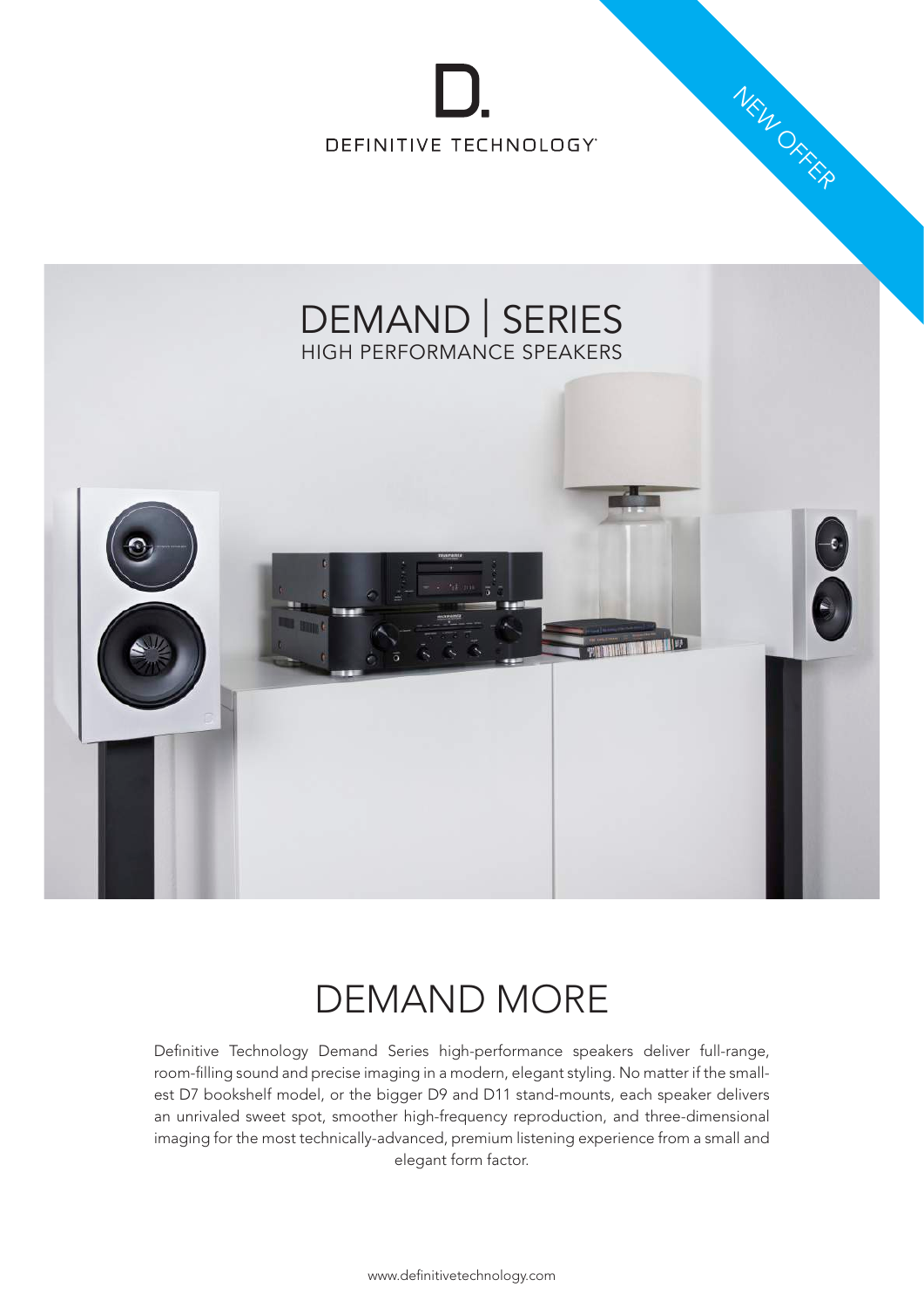

NEW ORKER



### DEMAND MORE

Definitive Technology Demand Series high-performance speakers deliver full-range, room-filling sound and precise imaging in a modern, elegant styling. No matter if the smallest D7 bookshelf model, or the bigger D9 and D11 stand-mounts, each speaker delivers an unrivaled sweet spot, smoother high-frequency reproduction, and three-dimensional imaging for the most technically-advanced, premium listening experience from a small and elegant form factor.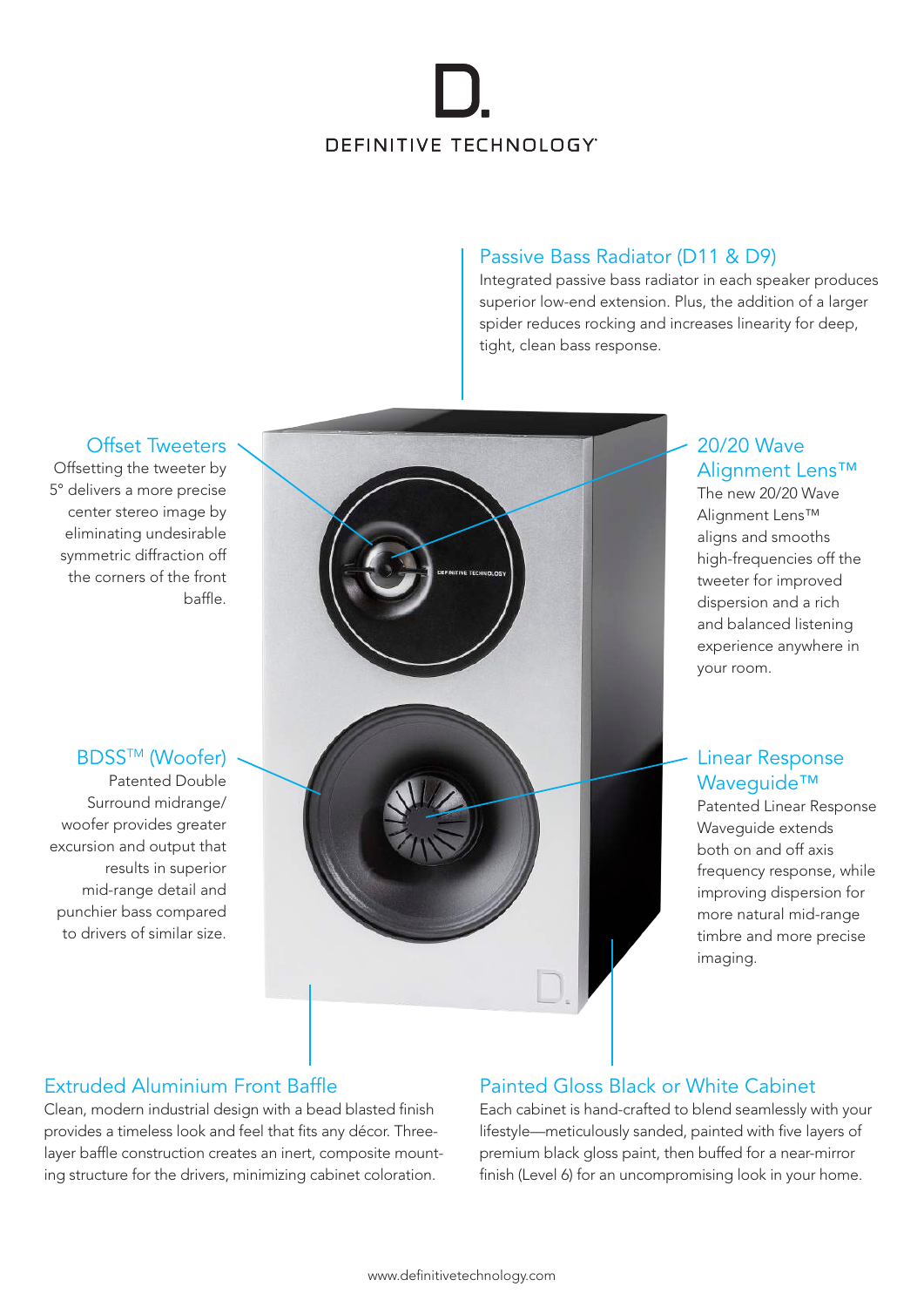# DEFINITIVE TECHNOLOGY

### Passive Bass Radiator (D11 & D9)

Integrated passive bass radiator in each speaker produces superior low-end extension. Plus, the addition of a larger spider reduces rocking and increases linearity for deep, tight, clean bass response.

#### Offset Tweeters

Offsetting the tweeter by 5° delivers a more precise center stereo image by eliminating undesirable symmetric diffraction off the corners of the front baffle.

### **BDSS<sup>™</sup> (Woofer)**

Patented Double Surround midrange/ woofer provides greater excursion and output that results in superior mid-range detail and punchier bass compared to drivers of similar size.



### 20/20 Wave Alignment Lens™

The new 20/20 Wave Alignment Lens™ aligns and smooths high-frequencies off the tweeter for improved dispersion and a rich and balanced listening experience anywhere in your room.

### Linear Response Waveguide™

Patented Linear Response Wavequide extends both on and off axis frequency response, while improving dispersion for more natural mid-range timbre and more precise imaging.

### Extruded Aluminium Front Baffle

Clean, modern industrial design with a bead blasted finish provides a timeless look and feel that fits any décor. Threelayer baffle construction creates an inert, composite mounting structure for the drivers, minimizing cabinet coloration.

### Painted Gloss Black or White Cabinet

Each cabinet is hand-crafted to blend seamlessly with your lifestyle—meticulously sanded, painted with five layers of premium black gloss paint, then buffed for a near-mirror finish (Level 6) for an uncompromising look in your home.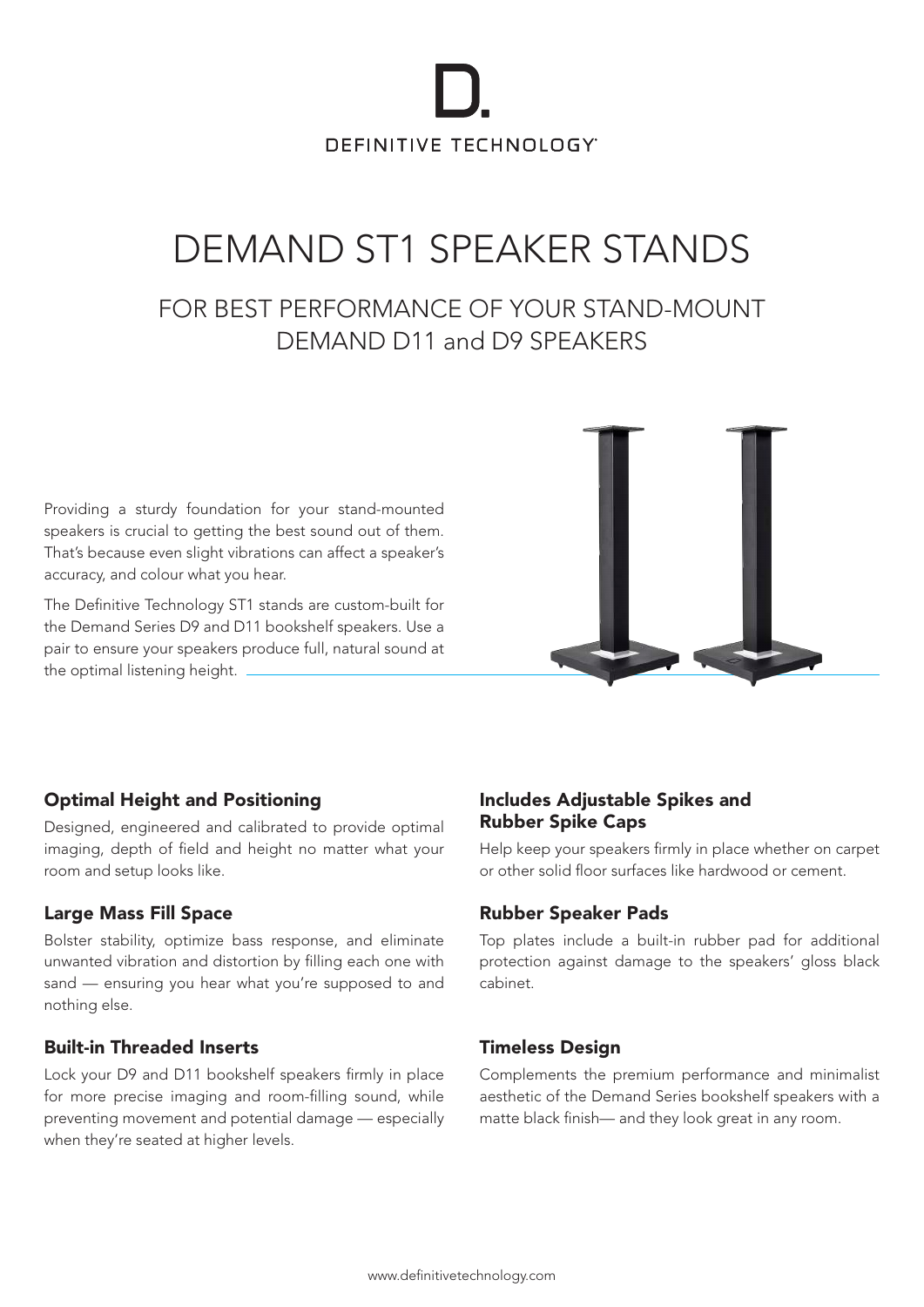# DEFINITIVE TECHNOLOGY

## DEMAND ST1 SPEAKER STANDS

### FOR BEST PERFORMANCE OF YOUR STAND-MOUNT DEMAND D11 and D9 SPEAKERS

Providing a sturdy foundation for your stand-mounted speakers is crucial to getting the best sound out of them. That's because even slight vibrations can affect a speaker's accuracy, and colour what you hear.

The Definitive Technology ST1 stands are custom-built for the Demand Series D9 and D11 bookshelf speakers. Use a pair to ensure your speakers produce full, natural sound at the optimal listening height.



### Optimal Height and Positioning

Designed, engineered and calibrated to provide optimal imaging, depth of field and height no matter what your room and setup looks like.

### Large Mass Fill Space

Bolster stability, optimize bass response, and eliminate unwanted vibration and distortion by filling each one with sand — ensuring you hear what you're supposed to and nothing else.

### Built-in Threaded Inserts

Lock your D9 and D11 bookshelf speakers firmly in place for more precise imaging and room-filling sound, while preventing movement and potential damage — especially when they're seated at higher levels.

#### Includes Adjustable Spikes and Rubber Spike Caps

Help keep your speakers firmly in place whether on carpet or other solid floor surfaces like hardwood or cement.

### Rubber Speaker Pads

Top plates include a built-in rubber pad for additional protection against damage to the speakers' gloss black cabinet.

### Timeless Design

Complements the premium performance and minimalist aesthetic of the Demand Series bookshelf speakers with a matte black finish— and they look great in any room.